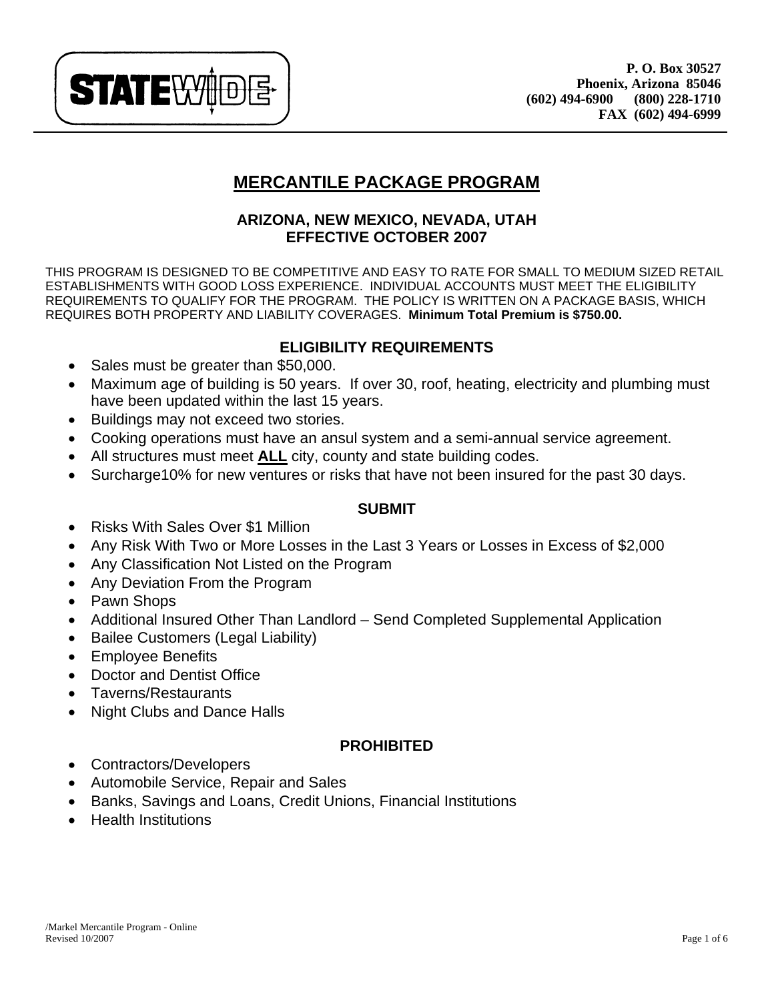

# **MERCANTILE PACKAGE PROGRAM**

# **ARIZONA, NEW MEXICO, NEVADA, UTAH EFFECTIVE OCTOBER 2007**

THIS PROGRAM IS DESIGNED TO BE COMPETITIVE AND EASY TO RATE FOR SMALL TO MEDIUM SIZED RETAIL ESTABLISHMENTS WITH GOOD LOSS EXPERIENCE. INDIVIDUAL ACCOUNTS MUST MEET THE ELIGIBILITY REQUIREMENTS TO QUALIFY FOR THE PROGRAM. THE POLICY IS WRITTEN ON A PACKAGE BASIS, WHICH REQUIRES BOTH PROPERTY AND LIABILITY COVERAGES. **Minimum Total Premium is \$750.00.**

# **ELIGIBILITY REQUIREMENTS**

- Sales must be greater than \$50,000.
- Maximum age of building is 50 years. If over 30, roof, heating, electricity and plumbing must have been updated within the last 15 years.
- Buildings may not exceed two stories.
- Cooking operations must have an ansul system and a semi-annual service agreement.
- All structures must meet **ALL** city, county and state building codes.
- Surcharge10% for new ventures or risks that have not been insured for the past 30 days.

# **SUBMIT**

- Risks With Sales Over \$1 Million
- Any Risk With Two or More Losses in the Last 3 Years or Losses in Excess of \$2,000
- Any Classification Not Listed on the Program
- Any Deviation From the Program
- Pawn Shops
- Additional Insured Other Than Landlord Send Completed Supplemental Application
- Bailee Customers (Legal Liability)
- Employee Benefits
- Doctor and Dentist Office
- Taverns/Restaurants
- Night Clubs and Dance Halls

# **PROHIBITED**

- Contractors/Developers
- Automobile Service, Repair and Sales
- Banks, Savings and Loans, Credit Unions, Financial Institutions
- Health Institutions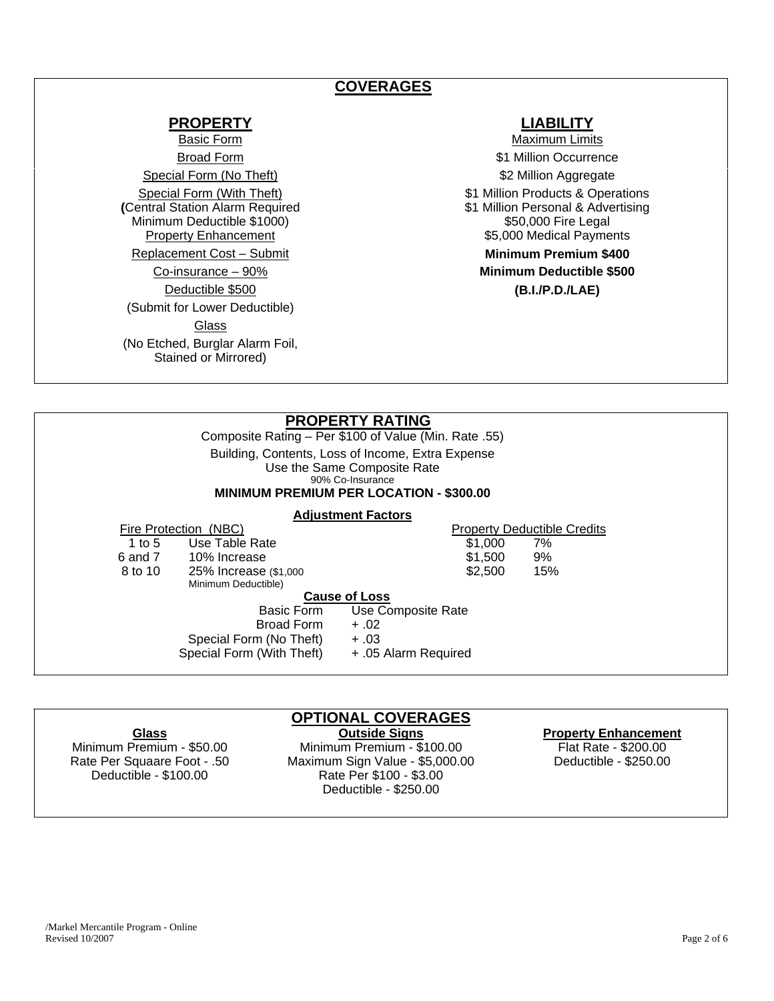# **COVERAGES**

## **PROPERTY LIABILITY**

Special Form (No Theft) **\$2 Million Aggregate** Special Form (With Theft) **(**Central Station Alarm Required Minimum Deductible \$1000)<br>Property Enhancement Replacement Cost – Submit **Minimum Premium \$400**  Deductible \$500 **(B.I./P.D./LAE)**  (Submit for Lower Deductible) **Glass** (No Etched, Burglar Alarm Foil, Stained or Mirrored)

Basic Form **Maximum Limits Maximum Limits** Broad Form  $$1$  Million Occurrence \$1 Million Products & Operations \$1 Million Personal & Advertising \$50,000 Fire Legal \$5,000 Medical Payments Co-insurance – 90% **Minimum Deductible \$500** 

### **PROPERTY RATING** Composite Rating – Per \$100 of Value (Min. Rate .55) Building, Contents, Loss of Income, Extra Expense Use the Same Composite Rate 90% Co-Insurance **MINIMUM PREMIUM PER LOCATION - \$300.00 Adjustment Factors** Fire Protection (NBC)<br>1 to 5 and Rate<br>1 to 5 and Rate<br>1 to 5 and Rate 1 to 5 Use Table Rate \$1,000 7%

| .       | 000101010                 | <b>vivvo</b>         | , , , |  |
|---------|---------------------------|----------------------|-------|--|
| 6 and 7 | 10% Increase              | \$1,500              | 9%    |  |
| 8 to 10 | 25% Increase (\$1,000     | \$2,500              | 15%   |  |
|         | Minimum Deductible)       |                      |       |  |
|         |                           | <b>Cause of Loss</b> |       |  |
|         | Basic Form                | Use Composite Rate   |       |  |
|         | Broad Form                | $+.02$               |       |  |
|         | Special Form (No Theft)   | $+.03$               |       |  |
|         | Special Form (With Theft) | + .05 Alarm Required |       |  |
|         |                           |                      |       |  |
|         |                           |                      |       |  |

# **OPTIONAL COVERAGES**

**Glass Outside Signs Property Enhancement** Minimum Premium - \$50.00 Minimum Premium - \$100.00 Flat Rate - \$200.00 Rate Per Squaare Foot - .50 Maximum Sign Value - \$5,000.00 Deductible - \$250.00 Deductible - \$100.00 Rate Per \$100 - \$3.00

Deductible - \$250.00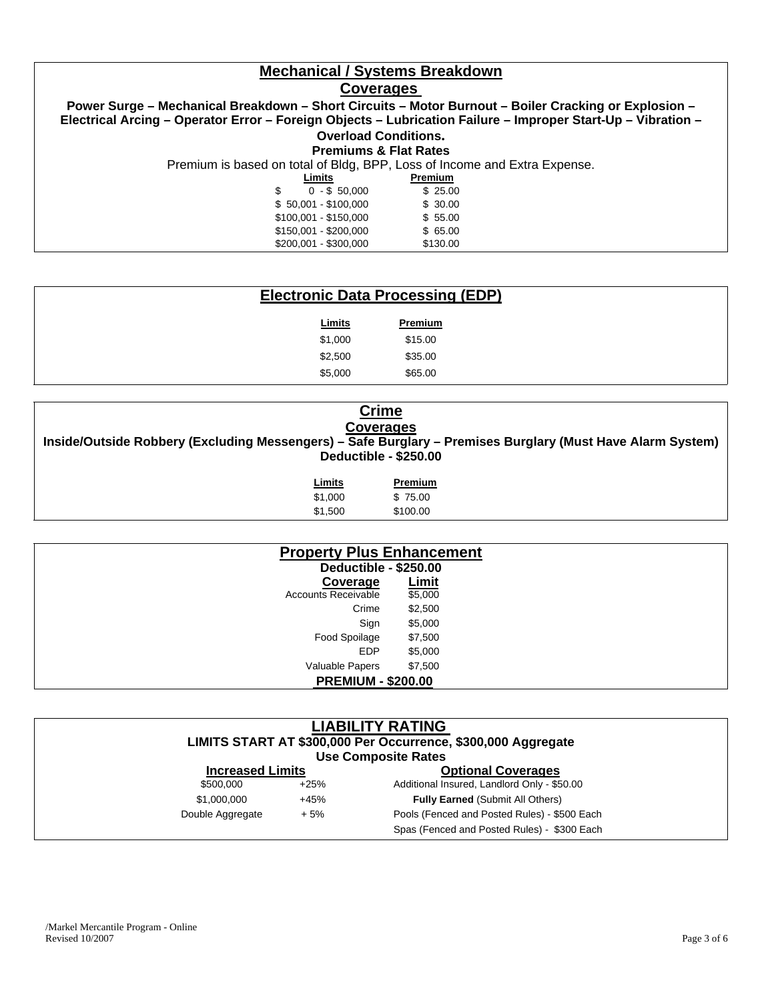# **Mechanical / Systems Breakdown**

### **Coverages**

**Power Surge – Mechanical Breakdown – Short Circuits – Motor Burnout – Boiler Cracking or Explosion – Electrical Arcing – Operator Error – Foreign Objects – Lubrication Failure – Improper Start-Up – Vibration – Overload Conditions. Premiums & Flat Rates** Premium is based on total of Bldg, BPP, Loss of Income and Extra Expense. **Premium** \$ 0 - \$ 50,000 \$ 25.00 \$ 50,001 - \$100,000 \$ 30.00 \$100,001 - \$150,000 \$ 55.00 \$150,001 - \$200,000 \$65.00 \$200,001 - \$300,000 \$130.00

## **Electronic Data Processing (EDP)**

| <u>Limits</u> | Premium |
|---------------|---------|
| \$1,000       | \$15.00 |
| \$2.500       | \$35.00 |
| \$5,000       | \$65.00 |

| <b>Crime</b><br><b>Coverages</b><br>Inside/Outside Robbery (Excluding Messengers) – Safe Burglary – Premises Burglary (Must Have Alarm System)<br>Deductible - \$250.00 |          |  |  |
|-------------------------------------------------------------------------------------------------------------------------------------------------------------------------|----------|--|--|
| Limits                                                                                                                                                                  | Premium  |  |  |
| \$1,000                                                                                                                                                                 | \$75.00  |  |  |
| \$1.500                                                                                                                                                                 | \$100.00 |  |  |

| <b>Property Plus Enhancement</b> |              |
|----------------------------------|--------------|
| Deductible - \$250.00            |              |
| Coverage                         | <b>Limit</b> |
| <b>Accounts Receivable</b>       | \$5,000      |
| Crime                            | \$2,500      |
| Sign                             | \$5,000      |
| Food Spoilage                    | \$7,500      |
| <b>EDP</b>                       | \$5,000      |
| Valuable Papers                  | \$7,500      |
| <b>PREMIUM - \$200.00</b>        |              |

| <b>LIABILITY RATING</b><br>LIMITS START AT \$300,000 Per Occurrence, \$300,000 Aggregate<br><b>Use Composite Rates</b> |        |                                              |  |
|------------------------------------------------------------------------------------------------------------------------|--------|----------------------------------------------|--|
| <b>Increased Limits</b>                                                                                                |        | <b>Optional Coverages</b>                    |  |
| \$500,000                                                                                                              | $+25%$ | Additional Insured, Landlord Only - \$50.00  |  |
| \$1,000,000                                                                                                            | $+45%$ | <b>Fully Earned (Submit All Others)</b>      |  |
| Double Aggregate                                                                                                       | $+5%$  | Pools (Fenced and Posted Rules) - \$500 Each |  |
|                                                                                                                        |        | Spas (Fenced and Posted Rules) - \$300 Each  |  |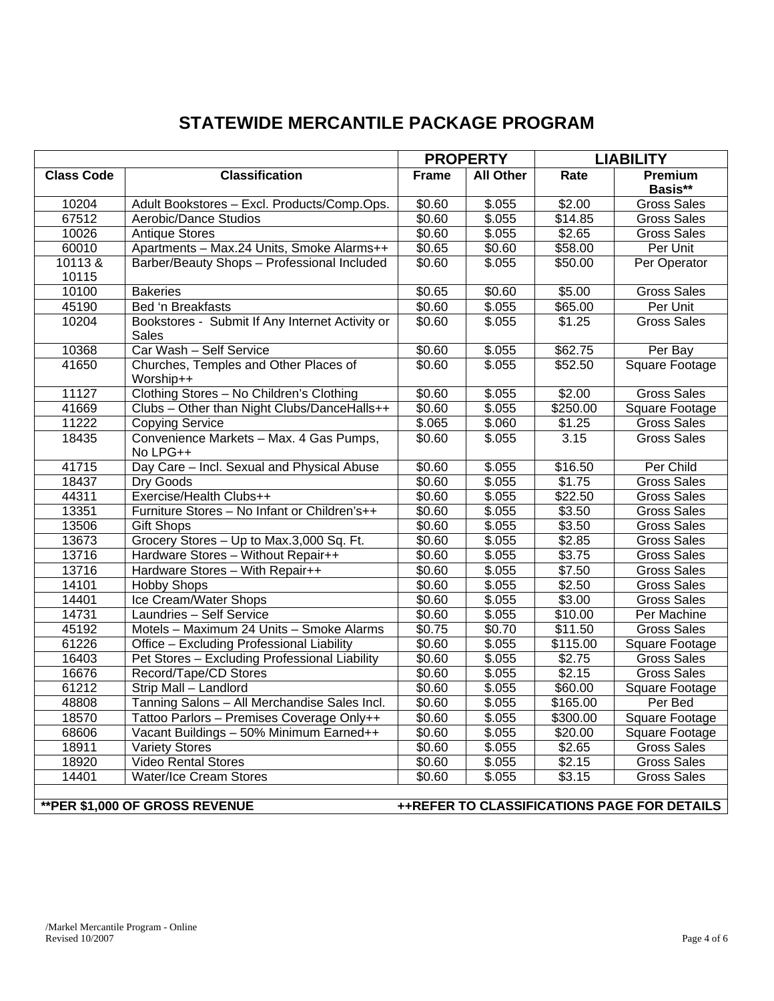# **STATEWIDE MERCANTILE PACKAGE PROGRAM**

| <b>Class Code</b><br><b>Classification</b><br>Rate<br><b>Frame</b><br><b>All Other</b><br>Premium<br>Basis**<br>\$.055<br>$\frac{1}{22.00}$<br>10204<br>Adult Bookstores - Excl. Products/Comp.Ops.<br>\$0.60<br>Gross Sales<br>67512<br>\$.055<br>Aerobic/Dance Studios<br>\$0.60<br>\$14.85<br><b>Gross Sales</b><br>10026<br>\$0.60<br>\$.055<br>\$2.65<br><b>Antique Stores</b><br><b>Gross Sales</b><br>Apartments - Max.24 Units, Smoke Alarms++<br>60010<br>\$0.65<br>\$0.60<br>\$58.00<br>Per Unit<br>10113&<br>Barber/Beauty Shops - Professional Included<br>\$0.60<br>\$.055<br>\$50.00<br>Per Operator<br>10115<br>\$5.00<br>\$0.65<br>\$0.60<br>10100<br><b>Bakeries</b><br><b>Gross Sales</b><br>\$0.60<br>\$.055<br>\$65.00<br>Per Unit<br>45190<br>Bed 'n Breakfasts<br>10204<br>Bookstores - Submit If Any Internet Activity or<br>\$0.60<br>\$.055<br>\$1.25<br><b>Gross Sales</b><br>Sales<br>Car Wash - Self Service<br>\$62.75<br>10368<br>\$0.60<br>\$.055<br>Per Bay<br>Churches, Temples and Other Places of<br>\$.055<br>\$52.50<br>Square Footage<br>41650<br>\$0.60<br>Worship++<br>Clothing Stores - No Children's Clothing<br><b>Gross Sales</b><br>11127<br>\$0.60<br>\$.055<br>\$2.00<br>41669<br>Clubs - Other than Night Clubs/DanceHalls++<br>\$0.60<br>\$.055<br>\$250.00<br><b>Square Footage</b><br>11222<br>\$.065<br>\$.060<br>\$1.25<br><b>Gross Sales</b><br><b>Copying Service</b><br>Convenience Markets - Max. 4 Gas Pumps,<br>18435<br>\$0.60<br>\$.055<br>3.15<br><b>Gross Sales</b><br>No LPG++<br>Day Care - Incl. Sexual and Physical Abuse<br>41715<br>\$0.60<br>\$16.50<br>Per Child<br>\$.055<br>\$.055<br>\$1.75<br>18437<br>\$0.60<br><b>Gross Sales</b><br>Dry Goods<br>Exercise/Health Clubs++<br>44311<br>\$0.60<br>\$.055<br>\$22.50<br><b>Gross Sales</b><br>Furniture Stores - No Infant or Children's++<br>\$3.50<br>13351<br>\$0.60<br>\$.055<br><b>Gross Sales</b><br>\$3.50<br>\$0.60<br>\$.055<br>13506<br><b>Gift Shops</b><br>Gross Sales<br>Grocery Stores - Up to Max.3,000 Sq. Ft.<br>13673<br>$\sqrt{$0.60}$<br>\$.055<br>\$2.85<br><b>Gross Sales</b><br>13716<br>Hardware Stores - Without Repair++<br>\$.055<br>\$3.75<br>\$0.60<br>Gross Sales<br>\$.055<br>\$7.50<br>13716<br>Hardware Stores - With Repair++<br>\$0.60<br><b>Gross Sales</b><br>$\frac{1}{100}$<br>\$2.50<br>14101<br><b>Hobby Shops</b><br>\$0.60<br><b>Gross Sales</b><br>Ice Cream/Water Shops<br>$\overline{$}0.60$<br>\$.055<br>\$3.00<br>14401<br><b>Gross Sales</b><br>14731<br>\$0.60<br>\$.055<br>\$10.00<br>Laundries - Self Service<br>Per Machine<br>45192<br>Motels - Maximum 24 Units - Smoke Alarms<br>\$0.75<br>\$0.70<br>\$11.50<br><b>Gross Sales</b><br>3.055<br>\$115.00<br>61226<br>Office - Excluding Professional Liability<br>\$0.60<br>Square Footage<br>16403<br>\$0.60<br>\$.055<br>\$2.75<br>Pet Stores - Excluding Professional Liability<br><b>Gross Sales</b><br>\$.055<br>\$2.15<br>16676<br>Record/Tape/CD Stores<br>\$0.60<br><b>Gross Sales</b><br>61212<br>\$.055<br>Strip Mall - Landlord<br>\$0.60<br>\$60.00<br>Square Footage<br>48808<br>Tanning Salons - All Merchandise Sales Incl.<br>\$0.60<br>\$.055<br>\$165.00<br>Per Bed<br>\$.055<br>18570<br>\$0.60<br>\$300.00<br>Tattoo Parlors - Premises Coverage Only++<br>Square Footage<br>Vacant Buildings - 50% Minimum Earned++<br>68606<br>\$0.60<br>\$.055<br>\$20.00<br>Square Footage<br>18911<br>\$0.60<br>\$.055<br>\$2.65<br><b>Variety Stores</b><br><b>Gross Sales</b><br><b>Video Rental Stores</b><br>\$.055<br>\$2.15<br>18920<br>\$0.60<br><b>Gross Sales</b><br>\$.055<br>\$3.15<br>14401<br><b>Water/Ice Cream Stores</b><br>\$0.60<br><b>Gross Sales</b> |  |  | <b>PROPERTY</b> |  | <b>LIABILITY</b> |  |
|--------------------------------------------------------------------------------------------------------------------------------------------------------------------------------------------------------------------------------------------------------------------------------------------------------------------------------------------------------------------------------------------------------------------------------------------------------------------------------------------------------------------------------------------------------------------------------------------------------------------------------------------------------------------------------------------------------------------------------------------------------------------------------------------------------------------------------------------------------------------------------------------------------------------------------------------------------------------------------------------------------------------------------------------------------------------------------------------------------------------------------------------------------------------------------------------------------------------------------------------------------------------------------------------------------------------------------------------------------------------------------------------------------------------------------------------------------------------------------------------------------------------------------------------------------------------------------------------------------------------------------------------------------------------------------------------------------------------------------------------------------------------------------------------------------------------------------------------------------------------------------------------------------------------------------------------------------------------------------------------------------------------------------------------------------------------------------------------------------------------------------------------------------------------------------------------------------------------------------------------------------------------------------------------------------------------------------------------------------------------------------------------------------------------------------------------------------------------------------------------------------------------------------------------------------------------------------------------------------------------------------------------------------------------------------------------------------------------------------------------------------------------------------------------------------------------------------------------------------------------------------------------------------------------------------------------------------------------------------------------------------------------------------------------------------------------------------------------------------------------------------------------------------------------------------------------------------------------------------------------------------------------------------------------------------------------------------------------------------------------------------------------------------------------------------------------------------------------------------------------------------------------------------------------------------------------------------------------------------------------------------------------------------------------------------------------------------------------|--|--|-----------------|--|------------------|--|
|                                                                                                                                                                                                                                                                                                                                                                                                                                                                                                                                                                                                                                                                                                                                                                                                                                                                                                                                                                                                                                                                                                                                                                                                                                                                                                                                                                                                                                                                                                                                                                                                                                                                                                                                                                                                                                                                                                                                                                                                                                                                                                                                                                                                                                                                                                                                                                                                                                                                                                                                                                                                                                                                                                                                                                                                                                                                                                                                                                                                                                                                                                                                                                                                                                                                                                                                                                                                                                                                                                                                                                                                                                                                                                                    |  |  |                 |  |                  |  |
|                                                                                                                                                                                                                                                                                                                                                                                                                                                                                                                                                                                                                                                                                                                                                                                                                                                                                                                                                                                                                                                                                                                                                                                                                                                                                                                                                                                                                                                                                                                                                                                                                                                                                                                                                                                                                                                                                                                                                                                                                                                                                                                                                                                                                                                                                                                                                                                                                                                                                                                                                                                                                                                                                                                                                                                                                                                                                                                                                                                                                                                                                                                                                                                                                                                                                                                                                                                                                                                                                                                                                                                                                                                                                                                    |  |  |                 |  |                  |  |
|                                                                                                                                                                                                                                                                                                                                                                                                                                                                                                                                                                                                                                                                                                                                                                                                                                                                                                                                                                                                                                                                                                                                                                                                                                                                                                                                                                                                                                                                                                                                                                                                                                                                                                                                                                                                                                                                                                                                                                                                                                                                                                                                                                                                                                                                                                                                                                                                                                                                                                                                                                                                                                                                                                                                                                                                                                                                                                                                                                                                                                                                                                                                                                                                                                                                                                                                                                                                                                                                                                                                                                                                                                                                                                                    |  |  |                 |  |                  |  |
|                                                                                                                                                                                                                                                                                                                                                                                                                                                                                                                                                                                                                                                                                                                                                                                                                                                                                                                                                                                                                                                                                                                                                                                                                                                                                                                                                                                                                                                                                                                                                                                                                                                                                                                                                                                                                                                                                                                                                                                                                                                                                                                                                                                                                                                                                                                                                                                                                                                                                                                                                                                                                                                                                                                                                                                                                                                                                                                                                                                                                                                                                                                                                                                                                                                                                                                                                                                                                                                                                                                                                                                                                                                                                                                    |  |  |                 |  |                  |  |
|                                                                                                                                                                                                                                                                                                                                                                                                                                                                                                                                                                                                                                                                                                                                                                                                                                                                                                                                                                                                                                                                                                                                                                                                                                                                                                                                                                                                                                                                                                                                                                                                                                                                                                                                                                                                                                                                                                                                                                                                                                                                                                                                                                                                                                                                                                                                                                                                                                                                                                                                                                                                                                                                                                                                                                                                                                                                                                                                                                                                                                                                                                                                                                                                                                                                                                                                                                                                                                                                                                                                                                                                                                                                                                                    |  |  |                 |  |                  |  |
|                                                                                                                                                                                                                                                                                                                                                                                                                                                                                                                                                                                                                                                                                                                                                                                                                                                                                                                                                                                                                                                                                                                                                                                                                                                                                                                                                                                                                                                                                                                                                                                                                                                                                                                                                                                                                                                                                                                                                                                                                                                                                                                                                                                                                                                                                                                                                                                                                                                                                                                                                                                                                                                                                                                                                                                                                                                                                                                                                                                                                                                                                                                                                                                                                                                                                                                                                                                                                                                                                                                                                                                                                                                                                                                    |  |  |                 |  |                  |  |
|                                                                                                                                                                                                                                                                                                                                                                                                                                                                                                                                                                                                                                                                                                                                                                                                                                                                                                                                                                                                                                                                                                                                                                                                                                                                                                                                                                                                                                                                                                                                                                                                                                                                                                                                                                                                                                                                                                                                                                                                                                                                                                                                                                                                                                                                                                                                                                                                                                                                                                                                                                                                                                                                                                                                                                                                                                                                                                                                                                                                                                                                                                                                                                                                                                                                                                                                                                                                                                                                                                                                                                                                                                                                                                                    |  |  |                 |  |                  |  |
|                                                                                                                                                                                                                                                                                                                                                                                                                                                                                                                                                                                                                                                                                                                                                                                                                                                                                                                                                                                                                                                                                                                                                                                                                                                                                                                                                                                                                                                                                                                                                                                                                                                                                                                                                                                                                                                                                                                                                                                                                                                                                                                                                                                                                                                                                                                                                                                                                                                                                                                                                                                                                                                                                                                                                                                                                                                                                                                                                                                                                                                                                                                                                                                                                                                                                                                                                                                                                                                                                                                                                                                                                                                                                                                    |  |  |                 |  |                  |  |
|                                                                                                                                                                                                                                                                                                                                                                                                                                                                                                                                                                                                                                                                                                                                                                                                                                                                                                                                                                                                                                                                                                                                                                                                                                                                                                                                                                                                                                                                                                                                                                                                                                                                                                                                                                                                                                                                                                                                                                                                                                                                                                                                                                                                                                                                                                                                                                                                                                                                                                                                                                                                                                                                                                                                                                                                                                                                                                                                                                                                                                                                                                                                                                                                                                                                                                                                                                                                                                                                                                                                                                                                                                                                                                                    |  |  |                 |  |                  |  |
|                                                                                                                                                                                                                                                                                                                                                                                                                                                                                                                                                                                                                                                                                                                                                                                                                                                                                                                                                                                                                                                                                                                                                                                                                                                                                                                                                                                                                                                                                                                                                                                                                                                                                                                                                                                                                                                                                                                                                                                                                                                                                                                                                                                                                                                                                                                                                                                                                                                                                                                                                                                                                                                                                                                                                                                                                                                                                                                                                                                                                                                                                                                                                                                                                                                                                                                                                                                                                                                                                                                                                                                                                                                                                                                    |  |  |                 |  |                  |  |
|                                                                                                                                                                                                                                                                                                                                                                                                                                                                                                                                                                                                                                                                                                                                                                                                                                                                                                                                                                                                                                                                                                                                                                                                                                                                                                                                                                                                                                                                                                                                                                                                                                                                                                                                                                                                                                                                                                                                                                                                                                                                                                                                                                                                                                                                                                                                                                                                                                                                                                                                                                                                                                                                                                                                                                                                                                                                                                                                                                                                                                                                                                                                                                                                                                                                                                                                                                                                                                                                                                                                                                                                                                                                                                                    |  |  |                 |  |                  |  |
|                                                                                                                                                                                                                                                                                                                                                                                                                                                                                                                                                                                                                                                                                                                                                                                                                                                                                                                                                                                                                                                                                                                                                                                                                                                                                                                                                                                                                                                                                                                                                                                                                                                                                                                                                                                                                                                                                                                                                                                                                                                                                                                                                                                                                                                                                                                                                                                                                                                                                                                                                                                                                                                                                                                                                                                                                                                                                                                                                                                                                                                                                                                                                                                                                                                                                                                                                                                                                                                                                                                                                                                                                                                                                                                    |  |  |                 |  |                  |  |
|                                                                                                                                                                                                                                                                                                                                                                                                                                                                                                                                                                                                                                                                                                                                                                                                                                                                                                                                                                                                                                                                                                                                                                                                                                                                                                                                                                                                                                                                                                                                                                                                                                                                                                                                                                                                                                                                                                                                                                                                                                                                                                                                                                                                                                                                                                                                                                                                                                                                                                                                                                                                                                                                                                                                                                                                                                                                                                                                                                                                                                                                                                                                                                                                                                                                                                                                                                                                                                                                                                                                                                                                                                                                                                                    |  |  |                 |  |                  |  |
|                                                                                                                                                                                                                                                                                                                                                                                                                                                                                                                                                                                                                                                                                                                                                                                                                                                                                                                                                                                                                                                                                                                                                                                                                                                                                                                                                                                                                                                                                                                                                                                                                                                                                                                                                                                                                                                                                                                                                                                                                                                                                                                                                                                                                                                                                                                                                                                                                                                                                                                                                                                                                                                                                                                                                                                                                                                                                                                                                                                                                                                                                                                                                                                                                                                                                                                                                                                                                                                                                                                                                                                                                                                                                                                    |  |  |                 |  |                  |  |
|                                                                                                                                                                                                                                                                                                                                                                                                                                                                                                                                                                                                                                                                                                                                                                                                                                                                                                                                                                                                                                                                                                                                                                                                                                                                                                                                                                                                                                                                                                                                                                                                                                                                                                                                                                                                                                                                                                                                                                                                                                                                                                                                                                                                                                                                                                                                                                                                                                                                                                                                                                                                                                                                                                                                                                                                                                                                                                                                                                                                                                                                                                                                                                                                                                                                                                                                                                                                                                                                                                                                                                                                                                                                                                                    |  |  |                 |  |                  |  |
|                                                                                                                                                                                                                                                                                                                                                                                                                                                                                                                                                                                                                                                                                                                                                                                                                                                                                                                                                                                                                                                                                                                                                                                                                                                                                                                                                                                                                                                                                                                                                                                                                                                                                                                                                                                                                                                                                                                                                                                                                                                                                                                                                                                                                                                                                                                                                                                                                                                                                                                                                                                                                                                                                                                                                                                                                                                                                                                                                                                                                                                                                                                                                                                                                                                                                                                                                                                                                                                                                                                                                                                                                                                                                                                    |  |  |                 |  |                  |  |
|                                                                                                                                                                                                                                                                                                                                                                                                                                                                                                                                                                                                                                                                                                                                                                                                                                                                                                                                                                                                                                                                                                                                                                                                                                                                                                                                                                                                                                                                                                                                                                                                                                                                                                                                                                                                                                                                                                                                                                                                                                                                                                                                                                                                                                                                                                                                                                                                                                                                                                                                                                                                                                                                                                                                                                                                                                                                                                                                                                                                                                                                                                                                                                                                                                                                                                                                                                                                                                                                                                                                                                                                                                                                                                                    |  |  |                 |  |                  |  |
|                                                                                                                                                                                                                                                                                                                                                                                                                                                                                                                                                                                                                                                                                                                                                                                                                                                                                                                                                                                                                                                                                                                                                                                                                                                                                                                                                                                                                                                                                                                                                                                                                                                                                                                                                                                                                                                                                                                                                                                                                                                                                                                                                                                                                                                                                                                                                                                                                                                                                                                                                                                                                                                                                                                                                                                                                                                                                                                                                                                                                                                                                                                                                                                                                                                                                                                                                                                                                                                                                                                                                                                                                                                                                                                    |  |  |                 |  |                  |  |
|                                                                                                                                                                                                                                                                                                                                                                                                                                                                                                                                                                                                                                                                                                                                                                                                                                                                                                                                                                                                                                                                                                                                                                                                                                                                                                                                                                                                                                                                                                                                                                                                                                                                                                                                                                                                                                                                                                                                                                                                                                                                                                                                                                                                                                                                                                                                                                                                                                                                                                                                                                                                                                                                                                                                                                                                                                                                                                                                                                                                                                                                                                                                                                                                                                                                                                                                                                                                                                                                                                                                                                                                                                                                                                                    |  |  |                 |  |                  |  |
|                                                                                                                                                                                                                                                                                                                                                                                                                                                                                                                                                                                                                                                                                                                                                                                                                                                                                                                                                                                                                                                                                                                                                                                                                                                                                                                                                                                                                                                                                                                                                                                                                                                                                                                                                                                                                                                                                                                                                                                                                                                                                                                                                                                                                                                                                                                                                                                                                                                                                                                                                                                                                                                                                                                                                                                                                                                                                                                                                                                                                                                                                                                                                                                                                                                                                                                                                                                                                                                                                                                                                                                                                                                                                                                    |  |  |                 |  |                  |  |
|                                                                                                                                                                                                                                                                                                                                                                                                                                                                                                                                                                                                                                                                                                                                                                                                                                                                                                                                                                                                                                                                                                                                                                                                                                                                                                                                                                                                                                                                                                                                                                                                                                                                                                                                                                                                                                                                                                                                                                                                                                                                                                                                                                                                                                                                                                                                                                                                                                                                                                                                                                                                                                                                                                                                                                                                                                                                                                                                                                                                                                                                                                                                                                                                                                                                                                                                                                                                                                                                                                                                                                                                                                                                                                                    |  |  |                 |  |                  |  |
|                                                                                                                                                                                                                                                                                                                                                                                                                                                                                                                                                                                                                                                                                                                                                                                                                                                                                                                                                                                                                                                                                                                                                                                                                                                                                                                                                                                                                                                                                                                                                                                                                                                                                                                                                                                                                                                                                                                                                                                                                                                                                                                                                                                                                                                                                                                                                                                                                                                                                                                                                                                                                                                                                                                                                                                                                                                                                                                                                                                                                                                                                                                                                                                                                                                                                                                                                                                                                                                                                                                                                                                                                                                                                                                    |  |  |                 |  |                  |  |
|                                                                                                                                                                                                                                                                                                                                                                                                                                                                                                                                                                                                                                                                                                                                                                                                                                                                                                                                                                                                                                                                                                                                                                                                                                                                                                                                                                                                                                                                                                                                                                                                                                                                                                                                                                                                                                                                                                                                                                                                                                                                                                                                                                                                                                                                                                                                                                                                                                                                                                                                                                                                                                                                                                                                                                                                                                                                                                                                                                                                                                                                                                                                                                                                                                                                                                                                                                                                                                                                                                                                                                                                                                                                                                                    |  |  |                 |  |                  |  |
|                                                                                                                                                                                                                                                                                                                                                                                                                                                                                                                                                                                                                                                                                                                                                                                                                                                                                                                                                                                                                                                                                                                                                                                                                                                                                                                                                                                                                                                                                                                                                                                                                                                                                                                                                                                                                                                                                                                                                                                                                                                                                                                                                                                                                                                                                                                                                                                                                                                                                                                                                                                                                                                                                                                                                                                                                                                                                                                                                                                                                                                                                                                                                                                                                                                                                                                                                                                                                                                                                                                                                                                                                                                                                                                    |  |  |                 |  |                  |  |
|                                                                                                                                                                                                                                                                                                                                                                                                                                                                                                                                                                                                                                                                                                                                                                                                                                                                                                                                                                                                                                                                                                                                                                                                                                                                                                                                                                                                                                                                                                                                                                                                                                                                                                                                                                                                                                                                                                                                                                                                                                                                                                                                                                                                                                                                                                                                                                                                                                                                                                                                                                                                                                                                                                                                                                                                                                                                                                                                                                                                                                                                                                                                                                                                                                                                                                                                                                                                                                                                                                                                                                                                                                                                                                                    |  |  |                 |  |                  |  |
|                                                                                                                                                                                                                                                                                                                                                                                                                                                                                                                                                                                                                                                                                                                                                                                                                                                                                                                                                                                                                                                                                                                                                                                                                                                                                                                                                                                                                                                                                                                                                                                                                                                                                                                                                                                                                                                                                                                                                                                                                                                                                                                                                                                                                                                                                                                                                                                                                                                                                                                                                                                                                                                                                                                                                                                                                                                                                                                                                                                                                                                                                                                                                                                                                                                                                                                                                                                                                                                                                                                                                                                                                                                                                                                    |  |  |                 |  |                  |  |
|                                                                                                                                                                                                                                                                                                                                                                                                                                                                                                                                                                                                                                                                                                                                                                                                                                                                                                                                                                                                                                                                                                                                                                                                                                                                                                                                                                                                                                                                                                                                                                                                                                                                                                                                                                                                                                                                                                                                                                                                                                                                                                                                                                                                                                                                                                                                                                                                                                                                                                                                                                                                                                                                                                                                                                                                                                                                                                                                                                                                                                                                                                                                                                                                                                                                                                                                                                                                                                                                                                                                                                                                                                                                                                                    |  |  |                 |  |                  |  |
|                                                                                                                                                                                                                                                                                                                                                                                                                                                                                                                                                                                                                                                                                                                                                                                                                                                                                                                                                                                                                                                                                                                                                                                                                                                                                                                                                                                                                                                                                                                                                                                                                                                                                                                                                                                                                                                                                                                                                                                                                                                                                                                                                                                                                                                                                                                                                                                                                                                                                                                                                                                                                                                                                                                                                                                                                                                                                                                                                                                                                                                                                                                                                                                                                                                                                                                                                                                                                                                                                                                                                                                                                                                                                                                    |  |  |                 |  |                  |  |
|                                                                                                                                                                                                                                                                                                                                                                                                                                                                                                                                                                                                                                                                                                                                                                                                                                                                                                                                                                                                                                                                                                                                                                                                                                                                                                                                                                                                                                                                                                                                                                                                                                                                                                                                                                                                                                                                                                                                                                                                                                                                                                                                                                                                                                                                                                                                                                                                                                                                                                                                                                                                                                                                                                                                                                                                                                                                                                                                                                                                                                                                                                                                                                                                                                                                                                                                                                                                                                                                                                                                                                                                                                                                                                                    |  |  |                 |  |                  |  |
|                                                                                                                                                                                                                                                                                                                                                                                                                                                                                                                                                                                                                                                                                                                                                                                                                                                                                                                                                                                                                                                                                                                                                                                                                                                                                                                                                                                                                                                                                                                                                                                                                                                                                                                                                                                                                                                                                                                                                                                                                                                                                                                                                                                                                                                                                                                                                                                                                                                                                                                                                                                                                                                                                                                                                                                                                                                                                                                                                                                                                                                                                                                                                                                                                                                                                                                                                                                                                                                                                                                                                                                                                                                                                                                    |  |  |                 |  |                  |  |
|                                                                                                                                                                                                                                                                                                                                                                                                                                                                                                                                                                                                                                                                                                                                                                                                                                                                                                                                                                                                                                                                                                                                                                                                                                                                                                                                                                                                                                                                                                                                                                                                                                                                                                                                                                                                                                                                                                                                                                                                                                                                                                                                                                                                                                                                                                                                                                                                                                                                                                                                                                                                                                                                                                                                                                                                                                                                                                                                                                                                                                                                                                                                                                                                                                                                                                                                                                                                                                                                                                                                                                                                                                                                                                                    |  |  |                 |  |                  |  |
|                                                                                                                                                                                                                                                                                                                                                                                                                                                                                                                                                                                                                                                                                                                                                                                                                                                                                                                                                                                                                                                                                                                                                                                                                                                                                                                                                                                                                                                                                                                                                                                                                                                                                                                                                                                                                                                                                                                                                                                                                                                                                                                                                                                                                                                                                                                                                                                                                                                                                                                                                                                                                                                                                                                                                                                                                                                                                                                                                                                                                                                                                                                                                                                                                                                                                                                                                                                                                                                                                                                                                                                                                                                                                                                    |  |  |                 |  |                  |  |
|                                                                                                                                                                                                                                                                                                                                                                                                                                                                                                                                                                                                                                                                                                                                                                                                                                                                                                                                                                                                                                                                                                                                                                                                                                                                                                                                                                                                                                                                                                                                                                                                                                                                                                                                                                                                                                                                                                                                                                                                                                                                                                                                                                                                                                                                                                                                                                                                                                                                                                                                                                                                                                                                                                                                                                                                                                                                                                                                                                                                                                                                                                                                                                                                                                                                                                                                                                                                                                                                                                                                                                                                                                                                                                                    |  |  |                 |  |                  |  |
|                                                                                                                                                                                                                                                                                                                                                                                                                                                                                                                                                                                                                                                                                                                                                                                                                                                                                                                                                                                                                                                                                                                                                                                                                                                                                                                                                                                                                                                                                                                                                                                                                                                                                                                                                                                                                                                                                                                                                                                                                                                                                                                                                                                                                                                                                                                                                                                                                                                                                                                                                                                                                                                                                                                                                                                                                                                                                                                                                                                                                                                                                                                                                                                                                                                                                                                                                                                                                                                                                                                                                                                                                                                                                                                    |  |  |                 |  |                  |  |
|                                                                                                                                                                                                                                                                                                                                                                                                                                                                                                                                                                                                                                                                                                                                                                                                                                                                                                                                                                                                                                                                                                                                                                                                                                                                                                                                                                                                                                                                                                                                                                                                                                                                                                                                                                                                                                                                                                                                                                                                                                                                                                                                                                                                                                                                                                                                                                                                                                                                                                                                                                                                                                                                                                                                                                                                                                                                                                                                                                                                                                                                                                                                                                                                                                                                                                                                                                                                                                                                                                                                                                                                                                                                                                                    |  |  |                 |  |                  |  |
|                                                                                                                                                                                                                                                                                                                                                                                                                                                                                                                                                                                                                                                                                                                                                                                                                                                                                                                                                                                                                                                                                                                                                                                                                                                                                                                                                                                                                                                                                                                                                                                                                                                                                                                                                                                                                                                                                                                                                                                                                                                                                                                                                                                                                                                                                                                                                                                                                                                                                                                                                                                                                                                                                                                                                                                                                                                                                                                                                                                                                                                                                                                                                                                                                                                                                                                                                                                                                                                                                                                                                                                                                                                                                                                    |  |  |                 |  |                  |  |
|                                                                                                                                                                                                                                                                                                                                                                                                                                                                                                                                                                                                                                                                                                                                                                                                                                                                                                                                                                                                                                                                                                                                                                                                                                                                                                                                                                                                                                                                                                                                                                                                                                                                                                                                                                                                                                                                                                                                                                                                                                                                                                                                                                                                                                                                                                                                                                                                                                                                                                                                                                                                                                                                                                                                                                                                                                                                                                                                                                                                                                                                                                                                                                                                                                                                                                                                                                                                                                                                                                                                                                                                                                                                                                                    |  |  |                 |  |                  |  |

**\*\*PER \$1,000 OF GROSS REVENUE ++REFER TO CLASSIFICATIONS PAGE FOR DETAILS**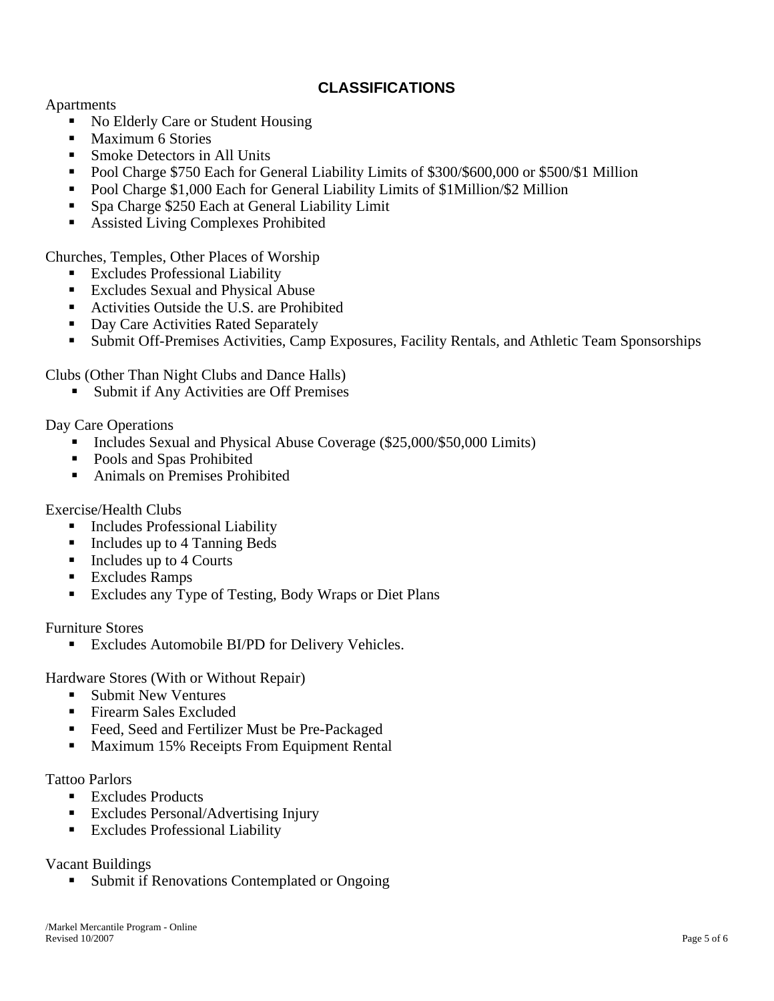# **CLASSIFICATIONS**

Apartments

- No Elderly Care or Student Housing
- Maximum 6 Stories
- Smoke Detectors in All Units
- Pool Charge \$750 Each for General Liability Limits of \$300/\$600,000 or \$500/\$1 Million
- Pool Charge \$1,000 Each for General Liability Limits of \$1Million/\$2 Million
- Spa Charge \$250 Each at General Liability Limit
- **Assisted Living Complexes Prohibited**

Churches, Temples, Other Places of Worship

- **Excludes Professional Liability**
- Excludes Sexual and Physical Abuse
- Activities Outside the U.S. are Prohibited
- Day Care Activities Rated Separately
- Submit Off-Premises Activities, Camp Exposures, Facility Rentals, and Athletic Team Sponsorships

Clubs (Other Than Night Clubs and Dance Halls)

■ Submit if Any Activities are Off Premises

Day Care Operations

- Includes Sexual and Physical Abuse Coverage (\$25,000/\$50,000 Limits)
- Pools and Spas Prohibited
- Animals on Premises Prohibited

Exercise/Health Clubs

- **Includes Professional Liability**
- Includes up to 4 Tanning Beds
- $\blacksquare$  Includes up to 4 Courts
- **Excludes Ramps**
- Excludes any Type of Testing, Body Wraps or Diet Plans

Furniture Stores

**Excludes Automobile BI/PD for Delivery Vehicles.** 

Hardware Stores (With or Without Repair)

- Submit New Ventures
- Firearm Sales Excluded
- Feed, Seed and Fertilizer Must be Pre-Packaged
- Maximum 15% Receipts From Equipment Rental

Tattoo Parlors

- Excludes Products
- Excludes Personal/Advertising Injury
- **Excludes Professional Liability**

Vacant Buildings

Submit if Renovations Contemplated or Ongoing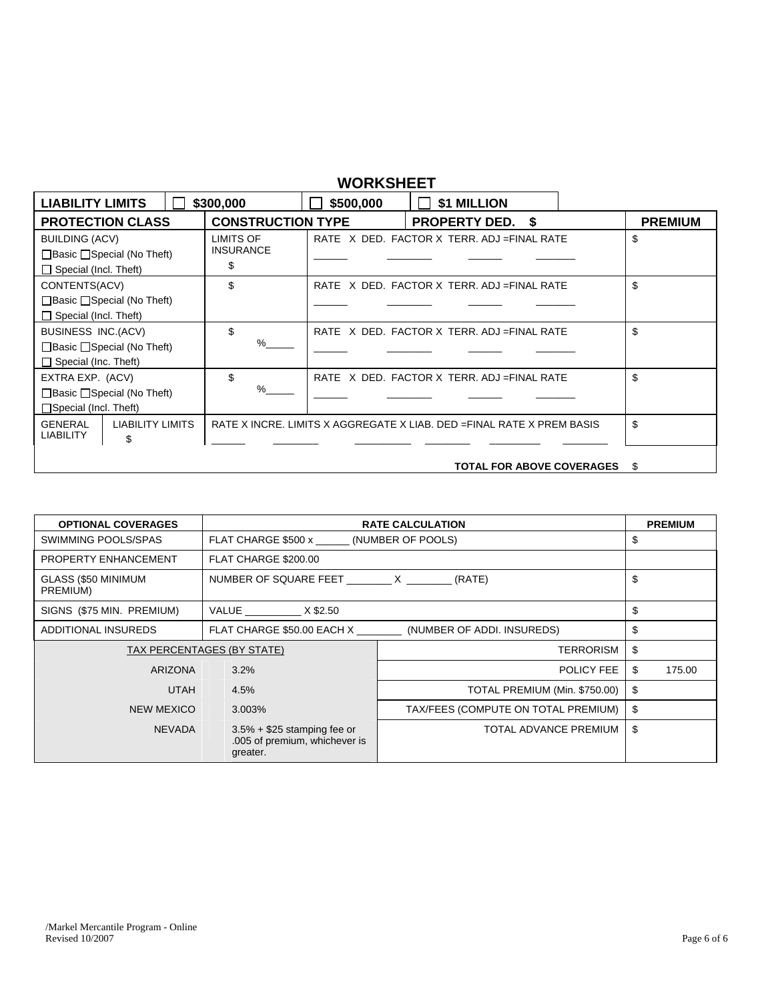# **WORKSHEET**

| <b>LIABILITY LIMITS</b>                                                                            | \$300,000                          | \$500,000 | \$1 MILLION                                                            |     |                |
|----------------------------------------------------------------------------------------------------|------------------------------------|-----------|------------------------------------------------------------------------|-----|----------------|
| <b>PROTECTION CLASS</b>                                                                            | <b>CONSTRUCTION TYPE</b>           |           | <b>PROPERTY DED.</b> \$                                                |     | <b>PREMIUM</b> |
| <b>BUILDING (ACV)</b><br>$\Box$ Basic $\Box$ Special (No Theft)<br>$\Box$ Special (Incl. Theft)    | LIMITS OF<br><b>INSURANCE</b><br>S |           | RATE X DED. FACTOR X TERR. ADJ = FINAL RATE                            | \$  |                |
| CONTENTS(ACV)<br>$\Box$ Basic $\Box$ Special (No Theft)<br>$\Box$ Special (Incl. Theft)            | \$                                 |           | RATE X DED. FACTOR X TERR. ADJ = FINAL RATE                            | \$  |                |
| <b>BUSINESS INC.(ACV)</b><br>$\Box$ Basic $\Box$ Special (No Theft)<br>$\Box$ Special (Inc. Theft) | \$.<br>%                           |           | RATE X DED. FACTOR X TERR. ADJ = FINAL RATE                            | \$  |                |
| EXTRA EXP. (ACV)<br>$\Box$ Basic $\Box$ Special (No Theft)<br>$\Box$ Special (Incl. Theft)         | \$<br>%                            |           | RATE X DED. FACTOR X TERR. ADJ = FINAL RATE                            | \$  |                |
| <b>LIABILITY LIMITS</b><br><b>GENERAL</b><br><b>LIABILITY</b><br>\$                                |                                    |           | RATE X INCRE. LIMITS X AGGREGATE X LIAB. DED = FINAL RATE X PREM BASIS | \$  |                |
|                                                                                                    |                                    |           | <b>TOTAL FOR ABOVE COVERAGES</b>                                       | \$. |                |

| <b>OPTIONAL COVERAGES</b>       | <b>RATE CALCULATION</b>                                                    | <b>PREMIUM</b>                      |              |
|---------------------------------|----------------------------------------------------------------------------|-------------------------------------|--------------|
| SWIMMING POOLS/SPAS             | FLAT CHARGE \$500 x (NUMBER OF POOLS)                                      | S                                   |              |
| PROPERTY ENHANCEMENT            | FLAT CHARGE \$200.00                                                       |                                     |              |
| GLASS (\$50 MINIMUM<br>PREMIUM) |                                                                            | (RATE)                              | \$           |
| SIGNS (\$75 MIN. PREMIUM)       | VALUE X \$2.50                                                             |                                     | \$           |
| ADDITIONAL INSUREDS             | FLAT CHARGE \$50.00 EACH X                                                 | (NUMBER OF ADDI. INSUREDS)          | \$           |
|                                 | TAX PERCENTAGES (BY STATE)                                                 | <b>TERRORISM</b>                    | \$           |
| <b>ARIZONA</b>                  | 3.2%                                                                       | POLICY FEE                          | \$<br>175.00 |
| <b>UTAH</b>                     | 4.5%                                                                       | TOTAL PREMIUM (Min. \$750.00)       | \$           |
| NEW MEXICO                      | 3.003%                                                                     | TAX/FEES (COMPUTE ON TOTAL PREMIUM) | \$           |
| <b>NEVADA</b>                   | $3.5\% + $25$ stamping fee or<br>.005 of premium, whichever is<br>greater. | TOTAL ADVANCE PREMIUM               | \$           |